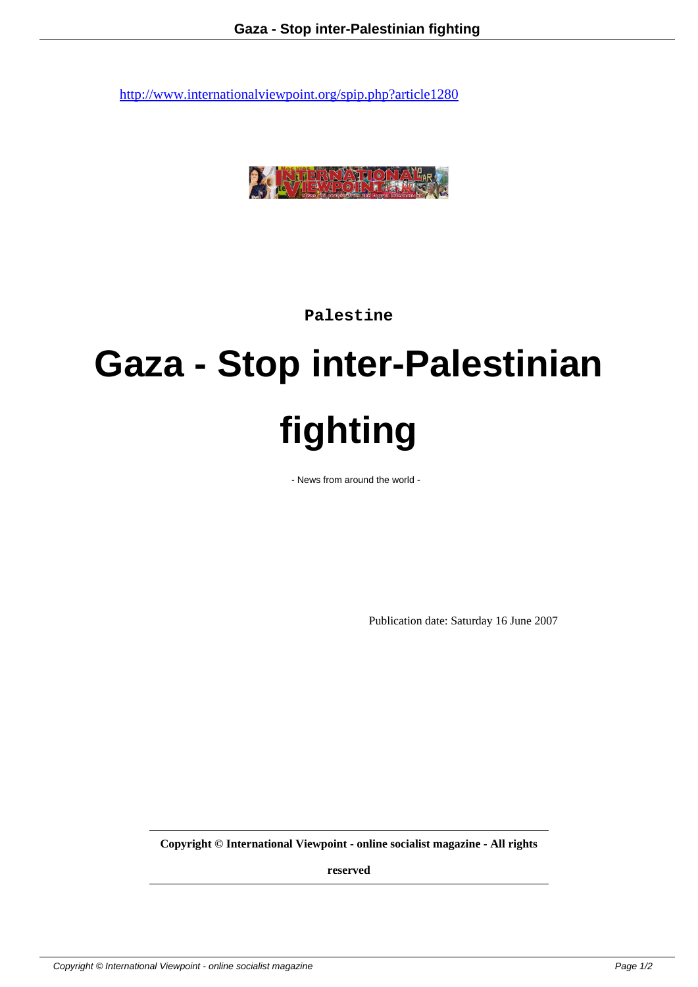

**Palestine**

## **Gaza - Stop inter-Palestinian fighting**

- News from around the world -

Publication date: Saturday 16 June 2007

**Copyright © International Viewpoint - online socialist magazine - All rights**

**reserved**